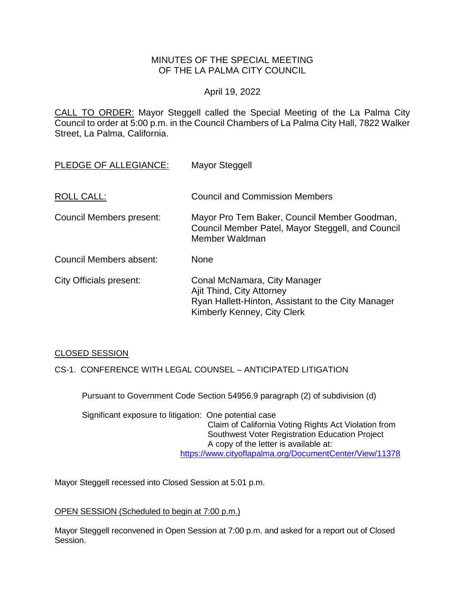# MINUTES OF THE SPECIAL MEETING OF THE LA PALMA CITY COUNCIL

### April 19, 2022

CALL TO ORDER: Mayor Steggell called the Special Meeting of the La Palma City Council to order at 5:00 p.m. in the Council Chambers of La Palma City Hall, 7822 Walker Street, La Palma, California.

| PLEDGE OF ALLEGIANCE:    | <b>Mayor Steggell</b>                                                                                                                          |
|--------------------------|------------------------------------------------------------------------------------------------------------------------------------------------|
| ROLL CALL:               | <b>Council and Commission Members</b>                                                                                                          |
| Council Members present: | Mayor Pro Tem Baker, Council Member Goodman,<br>Council Member Patel, Mayor Steggell, and Council<br>Member Waldman                            |
| Council Members absent:  | None                                                                                                                                           |
| City Officials present:  | Conal McNamara, City Manager<br>Ajit Thind, City Attorney<br>Ryan Hallett-Hinton, Assistant to the City Manager<br>Kimberly Kenney, City Clerk |

# CLOSED SESSION

CS-1. CONFERENCE WITH LEGAL COUNSEL – ANTICIPATED LITIGATION

Pursuant to Government Code Section 54956.9 paragraph (2) of subdivision (d)

Significant exposure to litigation: One potential case Claim of California Voting Rights Act Violation from Southwest Voter Registration Education Project A copy of the letter is available at: <https://www.cityoflapalma.org/DocumentCenter/View/11378>

Mayor Steggell recessed into Closed Session at 5:01 p.m.

#### OPEN SESSION (Scheduled to begin at 7:00 p.m.)

Mayor Steggell reconvened in Open Session at 7:00 p.m. and asked for a report out of Closed Session.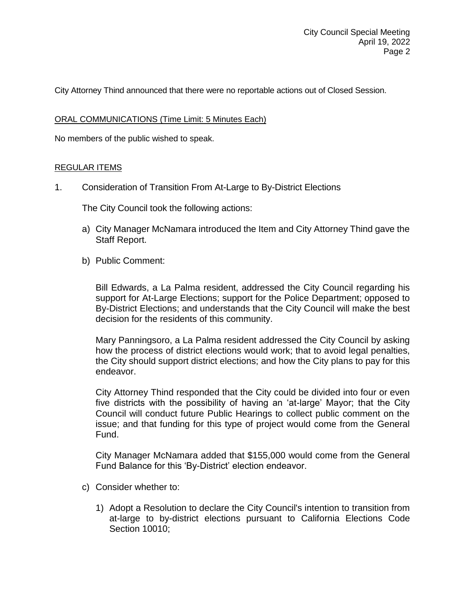City Attorney Thind announced that there were no reportable actions out of Closed Session.

### ORAL COMMUNICATIONS (Time Limit: 5 Minutes Each)

No members of the public wished to speak.

### REGULAR ITEMS

1. Consideration of Transition From At-Large to By-District Elections

The City Council took the following actions:

- a) City Manager McNamara introduced the Item and City Attorney Thind gave the Staff Report.
- b) Public Comment:

Bill Edwards, a La Palma resident, addressed the City Council regarding his support for At-Large Elections; support for the Police Department; opposed to By-District Elections; and understands that the City Council will make the best decision for the residents of this community.

Mary Panningsoro, a La Palma resident addressed the City Council by asking how the process of district elections would work; that to avoid legal penalties, the City should support district elections; and how the City plans to pay for this endeavor.

City Attorney Thind responded that the City could be divided into four or even five districts with the possibility of having an 'at-large' Mayor; that the City Council will conduct future Public Hearings to collect public comment on the issue; and that funding for this type of project would come from the General Fund.

City Manager McNamara added that \$155,000 would come from the General Fund Balance for this 'By-District' election endeavor.

- c) Consider whether to:
	- 1) Adopt a Resolution to declare the City Council's intention to transition from at-large to by-district elections pursuant to California Elections Code Section 10010;